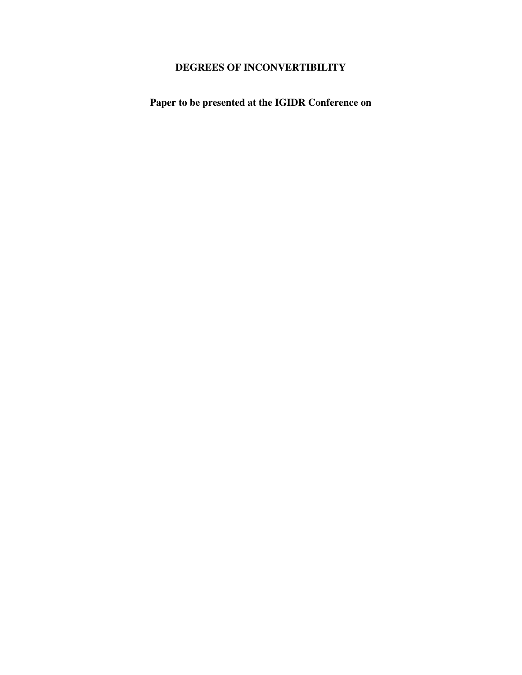# **DEGREES OF INCONVERTIBILITY**

**Paper to be presented at the IGIDR Conference on**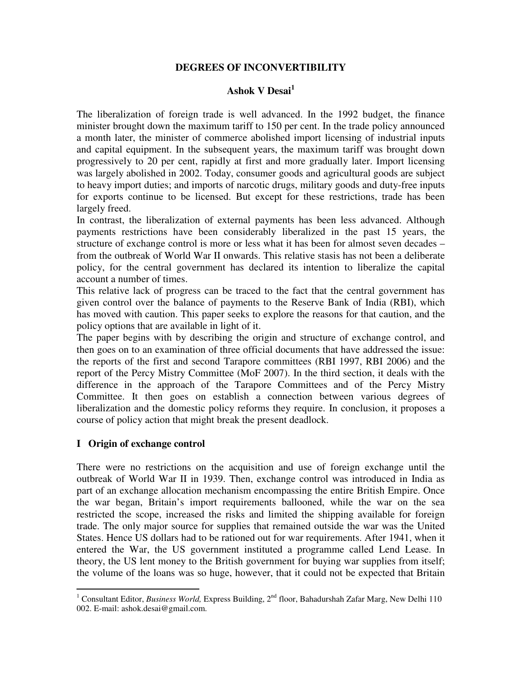#### **DEGREES OF INCONVERTIBILITY**

## **Ashok V Desai<sup>1</sup>**

The liberalization of foreign trade is well advanced. In the 1992 budget, the finance minister brought down the maximum tariff to 150 per cent. In the trade policy announced a month later, the minister of commerce abolished import licensing of industrial inputs and capital equipment. In the subsequent years, the maximum tariff was brought down progressively to 20 per cent, rapidly at first and more gradually later. Import licensing was largely abolished in 2002. Today, consumer goods and agricultural goods are subject to heavy import duties; and imports of narcotic drugs, military goods and duty-free inputs for exports continue to be licensed. But except for these restrictions, trade has been largely freed.

In contrast, the liberalization of external payments has been less advanced. Although payments restrictions have been considerably liberalized in the past 15 years, the structure of exchange control is more or less what it has been for almost seven decades – from the outbreak of World War II onwards. This relative stasis has not been a deliberate policy, for the central government has declared its intention to liberalize the capital account a number of times.

This relative lack of progress can be traced to the fact that the central government has given control over the balance of payments to the Reserve Bank of India (RBI), which has moved with caution. This paper seeks to explore the reasons for that caution, and the policy options that are available in light of it.

The paper begins with by describing the origin and structure of exchange control, and then goes on to an examination of three official documents that have addressed the issue: the reports of the first and second Tarapore committees (RBI 1997, RBI 2006) and the report of the Percy Mistry Committee (MoF 2007). In the third section, it deals with the difference in the approach of the Tarapore Committees and of the Percy Mistry Committee. It then goes on establish a connection between various degrees of liberalization and the domestic policy reforms they require. In conclusion, it proposes a course of policy action that might break the present deadlock.

#### **I Origin of exchange control**

There were no restrictions on the acquisition and use of foreign exchange until the outbreak of World War II in 1939. Then, exchange control was introduced in India as part of an exchange allocation mechanism encompassing the entire British Empire. Once the war began, Britain's import requirements ballooned, while the war on the sea restricted the scope, increased the risks and limited the shipping available for foreign trade. The only major source for supplies that remained outside the war was the United States. Hence US dollars had to be rationed out for war requirements. After 1941, when it entered the War, the US government instituted a programme called Lend Lease. In theory, the US lent money to the British government for buying war supplies from itself; the volume of the loans was so huge, however, that it could not be expected that Britain

<sup>&</sup>lt;sup>1</sup> Consultant Editor, *Business World*, Express Building, 2<sup>nd</sup> floor, Bahadurshah Zafar Marg, New Delhi 110 002. E-mail: ashok.desai@gmail.com.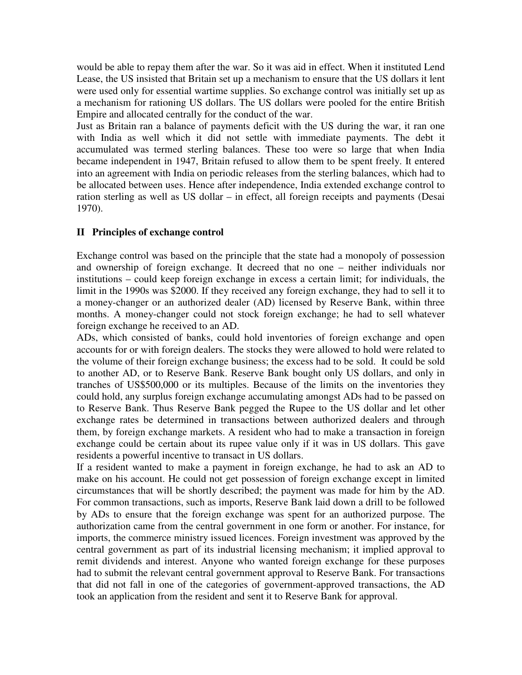would be able to repay them after the war. So it was aid in effect. When it instituted Lend Lease, the US insisted that Britain set up a mechanism to ensure that the US dollars it lent were used only for essential wartime supplies. So exchange control was initially set up as a mechanism for rationing US dollars. The US dollars were pooled for the entire British Empire and allocated centrally for the conduct of the war.

Just as Britain ran a balance of payments deficit with the US during the war, it ran one with India as well which it did not settle with immediate payments. The debt it accumulated was termed sterling balances. These too were so large that when India became independent in 1947, Britain refused to allow them to be spent freely. It entered into an agreement with India on periodic releases from the sterling balances, which had to be allocated between uses. Hence after independence, India extended exchange control to ration sterling as well as US dollar – in effect, all foreign receipts and payments (Desai 1970).

### **II Principles of exchange control**

Exchange control was based on the principle that the state had a monopoly of possession and ownership of foreign exchange. It decreed that no one – neither individuals nor institutions – could keep foreign exchange in excess a certain limit; for individuals, the limit in the 1990s was \$2000. If they received any foreign exchange, they had to sell it to a money-changer or an authorized dealer (AD) licensed by Reserve Bank, within three months. A money-changer could not stock foreign exchange; he had to sell whatever foreign exchange he received to an AD.

ADs, which consisted of banks, could hold inventories of foreign exchange and open accounts for or with foreign dealers. The stocks they were allowed to hold were related to the volume of their foreign exchange business; the excess had to be sold. It could be sold to another AD, or to Reserve Bank. Reserve Bank bought only US dollars, and only in tranches of US\$500,000 or its multiples. Because of the limits on the inventories they could hold, any surplus foreign exchange accumulating amongst ADs had to be passed on to Reserve Bank. Thus Reserve Bank pegged the Rupee to the US dollar and let other exchange rates be determined in transactions between authorized dealers and through them, by foreign exchange markets. A resident who had to make a transaction in foreign exchange could be certain about its rupee value only if it was in US dollars. This gave residents a powerful incentive to transact in US dollars.

If a resident wanted to make a payment in foreign exchange, he had to ask an AD to make on his account. He could not get possession of foreign exchange except in limited circumstances that will be shortly described; the payment was made for him by the AD. For common transactions, such as imports, Reserve Bank laid down a drill to be followed by ADs to ensure that the foreign exchange was spent for an authorized purpose. The authorization came from the central government in one form or another. For instance, for imports, the commerce ministry issued licences. Foreign investment was approved by the central government as part of its industrial licensing mechanism; it implied approval to remit dividends and interest. Anyone who wanted foreign exchange for these purposes had to submit the relevant central government approval to Reserve Bank. For transactions that did not fall in one of the categories of government-approved transactions, the AD took an application from the resident and sent it to Reserve Bank for approval.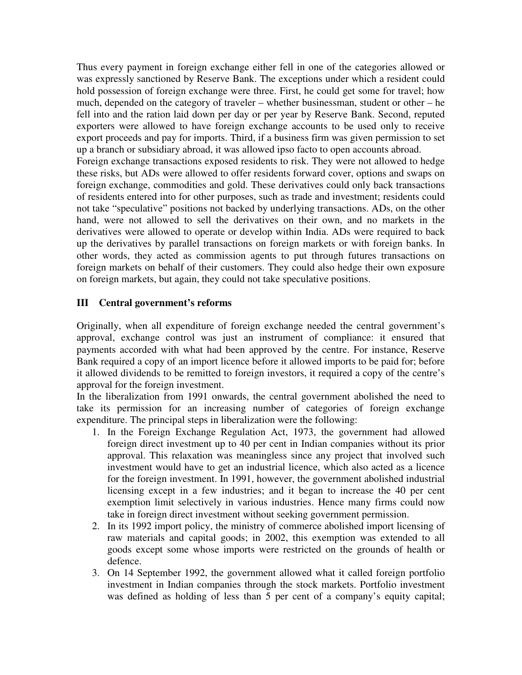Thus every payment in foreign exchange either fell in one of the categories allowed or was expressly sanctioned by Reserve Bank. The exceptions under which a resident could hold possession of foreign exchange were three. First, he could get some for travel; how much, depended on the category of traveler – whether businessman, student or other – he fell into and the ration laid down per day or per year by Reserve Bank. Second, reputed exporters were allowed to have foreign exchange accounts to be used only to receive export proceeds and pay for imports. Third, if a business firm was given permission to set up a branch or subsidiary abroad, it was allowed ipso facto to open accounts abroad. Foreign exchange transactions exposed residents to risk. They were not allowed to hedge these risks, but ADs were allowed to offer residents forward cover, options and swaps on foreign exchange, commodities and gold. These derivatives could only back transactions of residents entered into for other purposes, such as trade and investment; residents could

not take "speculative" positions not backed by underlying transactions. ADs, on the other hand, were not allowed to sell the derivatives on their own, and no markets in the derivatives were allowed to operate or develop within India. ADs were required to back up the derivatives by parallel transactions on foreign markets or with foreign banks. In other words, they acted as commission agents to put through futures transactions on foreign markets on behalf of their customers. They could also hedge their own exposure on foreign markets, but again, they could not take speculative positions.

## **III Central government's reforms**

Originally, when all expenditure of foreign exchange needed the central government's approval, exchange control was just an instrument of compliance: it ensured that payments accorded with what had been approved by the centre. For instance, Reserve Bank required a copy of an import licence before it allowed imports to be paid for; before it allowed dividends to be remitted to foreign investors, it required a copy of the centre's approval for the foreign investment.

In the liberalization from 1991 onwards, the central government abolished the need to take its permission for an increasing number of categories of foreign exchange expenditure. The principal steps in liberalization were the following:

- 1. In the Foreign Exchange Regulation Act, 1973, the government had allowed foreign direct investment up to 40 per cent in Indian companies without its prior approval. This relaxation was meaningless since any project that involved such investment would have to get an industrial licence, which also acted as a licence for the foreign investment. In 1991, however, the government abolished industrial licensing except in a few industries; and it began to increase the 40 per cent exemption limit selectively in various industries. Hence many firms could now take in foreign direct investment without seeking government permission.
- 2. In its 1992 import policy, the ministry of commerce abolished import licensing of raw materials and capital goods; in 2002, this exemption was extended to all goods except some whose imports were restricted on the grounds of health or defence.
- 3. On 14 September 1992, the government allowed what it called foreign portfolio investment in Indian companies through the stock markets. Portfolio investment was defined as holding of less than 5 per cent of a company's equity capital;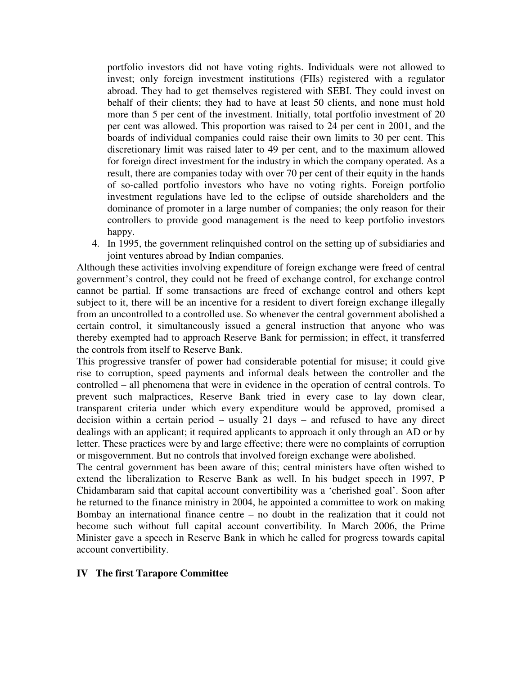portfolio investors did not have voting rights. Individuals were not allowed to invest; only foreign investment institutions (FIIs) registered with a regulator abroad. They had to get themselves registered with SEBI. They could invest on behalf of their clients; they had to have at least 50 clients, and none must hold more than 5 per cent of the investment. Initially, total portfolio investment of 20 per cent was allowed. This proportion was raised to 24 per cent in 2001, and the boards of individual companies could raise their own limits to 30 per cent. This discretionary limit was raised later to 49 per cent, and to the maximum allowed for foreign direct investment for the industry in which the company operated. As a result, there are companies today with over 70 per cent of their equity in the hands of so-called portfolio investors who have no voting rights. Foreign portfolio investment regulations have led to the eclipse of outside shareholders and the dominance of promoter in a large number of companies; the only reason for their controllers to provide good management is the need to keep portfolio investors happy.

4. In 1995, the government relinquished control on the setting up of subsidiaries and joint ventures abroad by Indian companies.

Although these activities involving expenditure of foreign exchange were freed of central government's control, they could not be freed of exchange control, for exchange control cannot be partial. If some transactions are freed of exchange control and others kept subject to it, there will be an incentive for a resident to divert foreign exchange illegally from an uncontrolled to a controlled use. So whenever the central government abolished a certain control, it simultaneously issued a general instruction that anyone who was thereby exempted had to approach Reserve Bank for permission; in effect, it transferred the controls from itself to Reserve Bank.

This progressive transfer of power had considerable potential for misuse; it could give rise to corruption, speed payments and informal deals between the controller and the controlled – all phenomena that were in evidence in the operation of central controls. To prevent such malpractices, Reserve Bank tried in every case to lay down clear, transparent criteria under which every expenditure would be approved, promised a decision within a certain period – usually 21 days – and refused to have any direct dealings with an applicant; it required applicants to approach it only through an AD or by letter. These practices were by and large effective; there were no complaints of corruption or misgovernment. But no controls that involved foreign exchange were abolished.

The central government has been aware of this; central ministers have often wished to extend the liberalization to Reserve Bank as well. In his budget speech in 1997, P Chidambaram said that capital account convertibility was a 'cherished goal'. Soon after he returned to the finance ministry in 2004, he appointed a committee to work on making Bombay an international finance centre – no doubt in the realization that it could not become such without full capital account convertibility. In March 2006, the Prime Minister gave a speech in Reserve Bank in which he called for progress towards capital account convertibility.

#### **IV The first Tarapore Committee**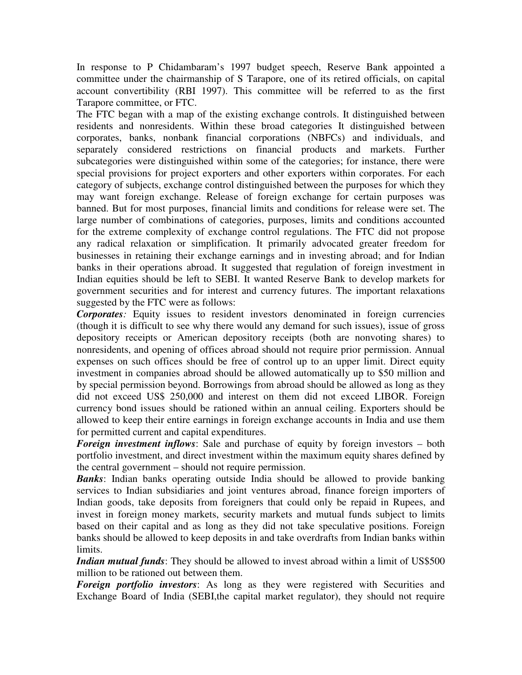In response to P Chidambaram's 1997 budget speech, Reserve Bank appointed a committee under the chairmanship of S Tarapore, one of its retired officials, on capital account convertibility (RBI 1997). This committee will be referred to as the first Tarapore committee, or FTC.

The FTC began with a map of the existing exchange controls. It distinguished between residents and nonresidents. Within these broad categories It distinguished between corporates, banks, nonbank financial corporations (NBFCs) and individuals, and separately considered restrictions on financial products and markets. Further subcategories were distinguished within some of the categories; for instance, there were special provisions for project exporters and other exporters within corporates. For each category of subjects, exchange control distinguished between the purposes for which they may want foreign exchange. Release of foreign exchange for certain purposes was banned. But for most purposes, financial limits and conditions for release were set. The large number of combinations of categories, purposes, limits and conditions accounted for the extreme complexity of exchange control regulations. The FTC did not propose any radical relaxation or simplification. It primarily advocated greater freedom for businesses in retaining their exchange earnings and in investing abroad; and for Indian banks in their operations abroad. It suggested that regulation of foreign investment in Indian equities should be left to SEBI. It wanted Reserve Bank to develop markets for government securities and for interest and currency futures. The important relaxations suggested by the FTC were as follows:

*Corporates:* Equity issues to resident investors denominated in foreign currencies (though it is difficult to see why there would any demand for such issues), issue of gross depository receipts or American depository receipts (both are nonvoting shares) to nonresidents, and opening of offices abroad should not require prior permission. Annual expenses on such offices should be free of control up to an upper limit. Direct equity investment in companies abroad should be allowed automatically up to \$50 million and by special permission beyond. Borrowings from abroad should be allowed as long as they did not exceed US\$ 250,000 and interest on them did not exceed LIBOR. Foreign currency bond issues should be rationed within an annual ceiling. Exporters should be allowed to keep their entire earnings in foreign exchange accounts in India and use them for permitted current and capital expenditures.

*Foreign investment inflows*: Sale and purchase of equity by foreign investors – both portfolio investment, and direct investment within the maximum equity shares defined by the central government – should not require permission.

*Banks*: Indian banks operating outside India should be allowed to provide banking services to Indian subsidiaries and joint ventures abroad, finance foreign importers of Indian goods, take deposits from foreigners that could only be repaid in Rupees, and invest in foreign money markets, security markets and mutual funds subject to limits based on their capital and as long as they did not take speculative positions. Foreign banks should be allowed to keep deposits in and take overdrafts from Indian banks within limits.

*Indian mutual funds*: They should be allowed to invest abroad within a limit of US\$500 million to be rationed out between them.

*Foreign portfolio investors*: As long as they were registered with Securities and Exchange Board of India (SEBI,the capital market regulator), they should not require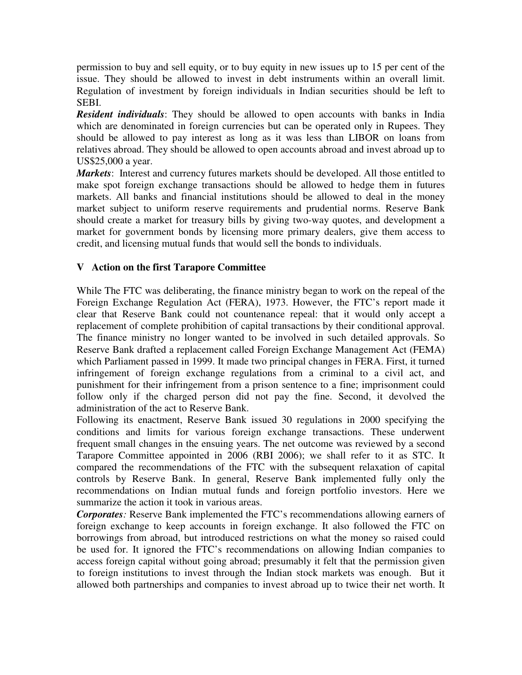permission to buy and sell equity, or to buy equity in new issues up to 15 per cent of the issue. They should be allowed to invest in debt instruments within an overall limit. Regulation of investment by foreign individuals in Indian securities should be left to SEBI.

*Resident individuals*: They should be allowed to open accounts with banks in India which are denominated in foreign currencies but can be operated only in Rupees. They should be allowed to pay interest as long as it was less than LIBOR on loans from relatives abroad. They should be allowed to open accounts abroad and invest abroad up to US\$25,000 a year.

*Markets*: Interest and currency futures markets should be developed. All those entitled to make spot foreign exchange transactions should be allowed to hedge them in futures markets. All banks and financial institutions should be allowed to deal in the money market subject to uniform reserve requirements and prudential norms. Reserve Bank should create a market for treasury bills by giving two-way quotes, and development a market for government bonds by licensing more primary dealers, give them access to credit, and licensing mutual funds that would sell the bonds to individuals.

### **V Action on the first Tarapore Committee**

While The FTC was deliberating, the finance ministry began to work on the repeal of the Foreign Exchange Regulation Act (FERA), 1973. However, the FTC's report made it clear that Reserve Bank could not countenance repeal: that it would only accept a replacement of complete prohibition of capital transactions by their conditional approval. The finance ministry no longer wanted to be involved in such detailed approvals. So Reserve Bank drafted a replacement called Foreign Exchange Management Act (FEMA) which Parliament passed in 1999. It made two principal changes in FERA. First, it turned infringement of foreign exchange regulations from a criminal to a civil act, and punishment for their infringement from a prison sentence to a fine; imprisonment could follow only if the charged person did not pay the fine. Second, it devolved the administration of the act to Reserve Bank.

Following its enactment, Reserve Bank issued 30 regulations in 2000 specifying the conditions and limits for various foreign exchange transactions. These underwent frequent small changes in the ensuing years. The net outcome was reviewed by a second Tarapore Committee appointed in 2006 (RBI 2006); we shall refer to it as STC. It compared the recommendations of the FTC with the subsequent relaxation of capital controls by Reserve Bank. In general, Reserve Bank implemented fully only the recommendations on Indian mutual funds and foreign portfolio investors. Here we summarize the action it took in various areas.

*Corporates:* Reserve Bank implemented the FTC's recommendations allowing earners of foreign exchange to keep accounts in foreign exchange. It also followed the FTC on borrowings from abroad, but introduced restrictions on what the money so raised could be used for. It ignored the FTC's recommendations on allowing Indian companies to access foreign capital without going abroad; presumably it felt that the permission given to foreign institutions to invest through the Indian stock markets was enough. But it allowed both partnerships and companies to invest abroad up to twice their net worth. It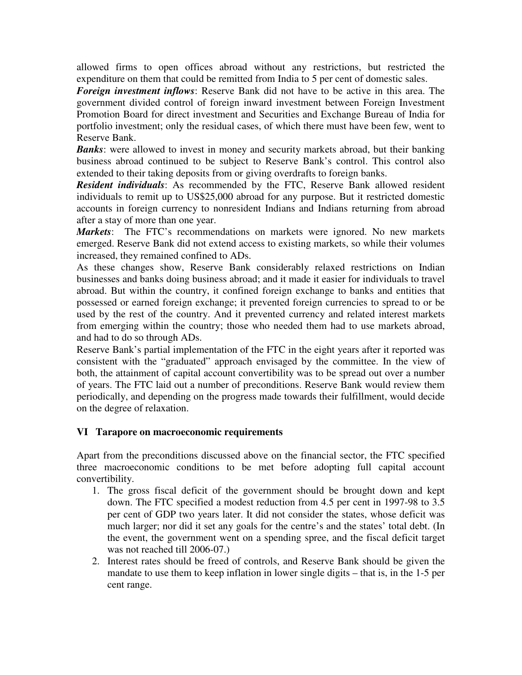allowed firms to open offices abroad without any restrictions, but restricted the expenditure on them that could be remitted from India to 5 per cent of domestic sales.

*Foreign investment inflows*: Reserve Bank did not have to be active in this area. The government divided control of foreign inward investment between Foreign Investment Promotion Board for direct investment and Securities and Exchange Bureau of India for portfolio investment; only the residual cases, of which there must have been few, went to Reserve Bank.

**Banks**: were allowed to invest in money and security markets abroad, but their banking business abroad continued to be subject to Reserve Bank's control. This control also extended to their taking deposits from or giving overdrafts to foreign banks.

*Resident individuals*: As recommended by the FTC, Reserve Bank allowed resident individuals to remit up to US\$25,000 abroad for any purpose. But it restricted domestic accounts in foreign currency to nonresident Indians and Indians returning from abroad after a stay of more than one year.

*Markets*: The FTC's recommendations on markets were ignored. No new markets emerged. Reserve Bank did not extend access to existing markets, so while their volumes increased, they remained confined to ADs.

As these changes show, Reserve Bank considerably relaxed restrictions on Indian businesses and banks doing business abroad; and it made it easier for individuals to travel abroad. But within the country, it confined foreign exchange to banks and entities that possessed or earned foreign exchange; it prevented foreign currencies to spread to or be used by the rest of the country. And it prevented currency and related interest markets from emerging within the country; those who needed them had to use markets abroad, and had to do so through ADs.

Reserve Bank's partial implementation of the FTC in the eight years after it reported was consistent with the "graduated" approach envisaged by the committee. In the view of both, the attainment of capital account convertibility was to be spread out over a number of years. The FTC laid out a number of preconditions. Reserve Bank would review them periodically, and depending on the progress made towards their fulfillment, would decide on the degree of relaxation.

## **VI Tarapore on macroeconomic requirements**

Apart from the preconditions discussed above on the financial sector, the FTC specified three macroeconomic conditions to be met before adopting full capital account convertibility.

- 1. The gross fiscal deficit of the government should be brought down and kept down. The FTC specified a modest reduction from 4.5 per cent in 1997-98 to 3.5 per cent of GDP two years later. It did not consider the states, whose deficit was much larger; nor did it set any goals for the centre's and the states' total debt. (In the event, the government went on a spending spree, and the fiscal deficit target was not reached till 2006-07.)
- 2. Interest rates should be freed of controls, and Reserve Bank should be given the mandate to use them to keep inflation in lower single digits – that is, in the 1-5 per cent range.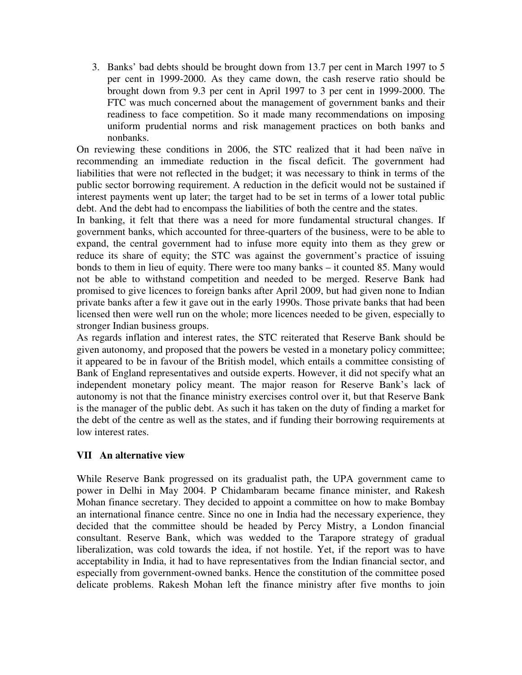3. Banks' bad debts should be brought down from 13.7 per cent in March 1997 to 5 per cent in 1999-2000. As they came down, the cash reserve ratio should be brought down from 9.3 per cent in April 1997 to 3 per cent in 1999-2000. The FTC was much concerned about the management of government banks and their readiness to face competition. So it made many recommendations on imposing uniform prudential norms and risk management practices on both banks and nonbanks.

On reviewing these conditions in 2006, the STC realized that it had been naïve in recommending an immediate reduction in the fiscal deficit. The government had liabilities that were not reflected in the budget; it was necessary to think in terms of the public sector borrowing requirement. A reduction in the deficit would not be sustained if interest payments went up later; the target had to be set in terms of a lower total public debt. And the debt had to encompass the liabilities of both the centre and the states.

In banking, it felt that there was a need for more fundamental structural changes. If government banks, which accounted for three-quarters of the business, were to be able to expand, the central government had to infuse more equity into them as they grew or reduce its share of equity; the STC was against the government's practice of issuing bonds to them in lieu of equity. There were too many banks – it counted 85. Many would not be able to withstand competition and needed to be merged. Reserve Bank had promised to give licences to foreign banks after April 2009, but had given none to Indian private banks after a few it gave out in the early 1990s. Those private banks that had been licensed then were well run on the whole; more licences needed to be given, especially to stronger Indian business groups.

As regards inflation and interest rates, the STC reiterated that Reserve Bank should be given autonomy, and proposed that the powers be vested in a monetary policy committee; it appeared to be in favour of the British model, which entails a committee consisting of Bank of England representatives and outside experts. However, it did not specify what an independent monetary policy meant. The major reason for Reserve Bank's lack of autonomy is not that the finance ministry exercises control over it, but that Reserve Bank is the manager of the public debt. As such it has taken on the duty of finding a market for the debt of the centre as well as the states, and if funding their borrowing requirements at low interest rates.

## **VII An alternative view**

While Reserve Bank progressed on its gradualist path, the UPA government came to power in Delhi in May 2004. P Chidambaram became finance minister, and Rakesh Mohan finance secretary. They decided to appoint a committee on how to make Bombay an international finance centre. Since no one in India had the necessary experience, they decided that the committee should be headed by Percy Mistry, a London financial consultant. Reserve Bank, which was wedded to the Tarapore strategy of gradual liberalization, was cold towards the idea, if not hostile. Yet, if the report was to have acceptability in India, it had to have representatives from the Indian financial sector, and especially from government-owned banks. Hence the constitution of the committee posed delicate problems. Rakesh Mohan left the finance ministry after five months to join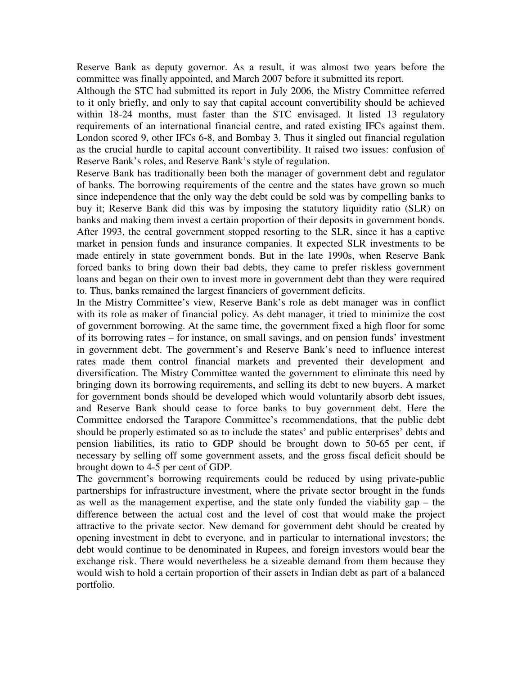Reserve Bank as deputy governor. As a result, it was almost two years before the committee was finally appointed, and March 2007 before it submitted its report.

Although the STC had submitted its report in July 2006, the Mistry Committee referred to it only briefly, and only to say that capital account convertibility should be achieved within 18-24 months, must faster than the STC envisaged. It listed 13 regulatory requirements of an international financial centre, and rated existing IFCs against them. London scored 9, other IFCs 6-8, and Bombay 3. Thus it singled out financial regulation as the crucial hurdle to capital account convertibility. It raised two issues: confusion of Reserve Bank's roles, and Reserve Bank's style of regulation.

Reserve Bank has traditionally been both the manager of government debt and regulator of banks. The borrowing requirements of the centre and the states have grown so much since independence that the only way the debt could be sold was by compelling banks to buy it; Reserve Bank did this was by imposing the statutory liquidity ratio (SLR) on banks and making them invest a certain proportion of their deposits in government bonds. After 1993, the central government stopped resorting to the SLR, since it has a captive market in pension funds and insurance companies. It expected SLR investments to be made entirely in state government bonds. But in the late 1990s, when Reserve Bank forced banks to bring down their bad debts, they came to prefer riskless government loans and began on their own to invest more in government debt than they were required to. Thus, banks remained the largest financiers of government deficits.

In the Mistry Committee's view, Reserve Bank's role as debt manager was in conflict with its role as maker of financial policy. As debt manager, it tried to minimize the cost of government borrowing. At the same time, the government fixed a high floor for some of its borrowing rates – for instance, on small savings, and on pension funds' investment in government debt. The government's and Reserve Bank's need to influence interest rates made them control financial markets and prevented their development and diversification. The Mistry Committee wanted the government to eliminate this need by bringing down its borrowing requirements, and selling its debt to new buyers. A market for government bonds should be developed which would voluntarily absorb debt issues, and Reserve Bank should cease to force banks to buy government debt. Here the Committee endorsed the Tarapore Committee's recommendations, that the public debt should be properly estimated so as to include the states' and public enterprises' debts and pension liabilities, its ratio to GDP should be brought down to 50-65 per cent, if necessary by selling off some government assets, and the gross fiscal deficit should be brought down to 4-5 per cent of GDP.

The government's borrowing requirements could be reduced by using private-public partnerships for infrastructure investment, where the private sector brought in the funds as well as the management expertise, and the state only funded the viability gap – the difference between the actual cost and the level of cost that would make the project attractive to the private sector. New demand for government debt should be created by opening investment in debt to everyone, and in particular to international investors; the debt would continue to be denominated in Rupees, and foreign investors would bear the exchange risk. There would nevertheless be a sizeable demand from them because they would wish to hold a certain proportion of their assets in Indian debt as part of a balanced portfolio.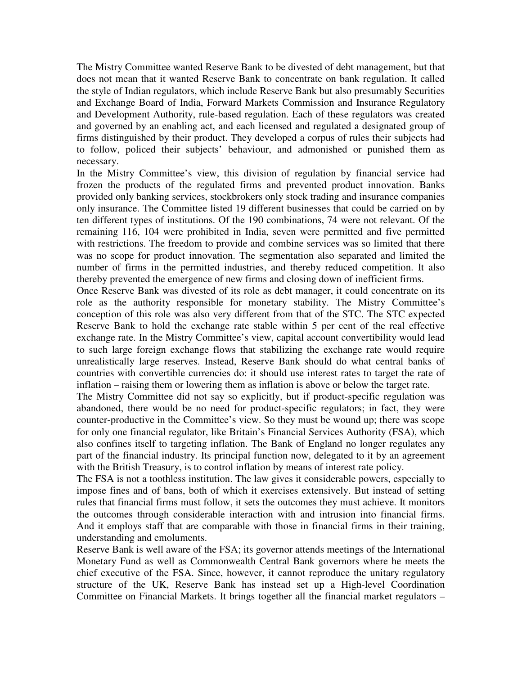The Mistry Committee wanted Reserve Bank to be divested of debt management, but that does not mean that it wanted Reserve Bank to concentrate on bank regulation. It called the style of Indian regulators, which include Reserve Bank but also presumably Securities and Exchange Board of India, Forward Markets Commission and Insurance Regulatory and Development Authority, rule-based regulation. Each of these regulators was created and governed by an enabling act, and each licensed and regulated a designated group of firms distinguished by their product. They developed a corpus of rules their subjects had to follow, policed their subjects' behaviour, and admonished or punished them as necessary.

In the Mistry Committee's view, this division of regulation by financial service had frozen the products of the regulated firms and prevented product innovation. Banks provided only banking services, stockbrokers only stock trading and insurance companies only insurance. The Committee listed 19 different businesses that could be carried on by ten different types of institutions. Of the 190 combinations, 74 were not relevant. Of the remaining 116, 104 were prohibited in India, seven were permitted and five permitted with restrictions. The freedom to provide and combine services was so limited that there was no scope for product innovation. The segmentation also separated and limited the number of firms in the permitted industries, and thereby reduced competition. It also thereby prevented the emergence of new firms and closing down of inefficient firms.

Once Reserve Bank was divested of its role as debt manager, it could concentrate on its role as the authority responsible for monetary stability. The Mistry Committee's conception of this role was also very different from that of the STC. The STC expected Reserve Bank to hold the exchange rate stable within 5 per cent of the real effective exchange rate. In the Mistry Committee's view, capital account convertibility would lead to such large foreign exchange flows that stabilizing the exchange rate would require unrealistically large reserves. Instead, Reserve Bank should do what central banks of countries with convertible currencies do: it should use interest rates to target the rate of inflation – raising them or lowering them as inflation is above or below the target rate.

The Mistry Committee did not say so explicitly, but if product-specific regulation was abandoned, there would be no need for product-specific regulators; in fact, they were counter-productive in the Committee's view. So they must be wound up; there was scope for only one financial regulator, like Britain's Financial Services Authority (FSA), which also confines itself to targeting inflation. The Bank of England no longer regulates any part of the financial industry. Its principal function now, delegated to it by an agreement with the British Treasury, is to control inflation by means of interest rate policy.

The FSA is not a toothless institution. The law gives it considerable powers, especially to impose fines and of bans, both of which it exercises extensively. But instead of setting rules that financial firms must follow, it sets the outcomes they must achieve. It monitors the outcomes through considerable interaction with and intrusion into financial firms. And it employs staff that are comparable with those in financial firms in their training, understanding and emoluments.

Reserve Bank is well aware of the FSA; its governor attends meetings of the International Monetary Fund as well as Commonwealth Central Bank governors where he meets the chief executive of the FSA. Since, however, it cannot reproduce the unitary regulatory structure of the UK, Reserve Bank has instead set up a High-level Coordination Committee on Financial Markets. It brings together all the financial market regulators –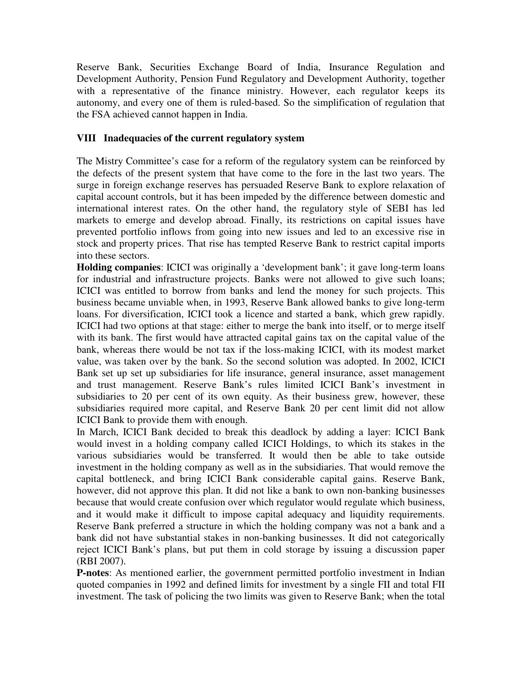Reserve Bank, Securities Exchange Board of India, Insurance Regulation and Development Authority, Pension Fund Regulatory and Development Authority, together with a representative of the finance ministry. However, each regulator keeps its autonomy, and every one of them is ruled-based. So the simplification of regulation that the FSA achieved cannot happen in India.

## **VIII Inadequacies of the current regulatory system**

The Mistry Committee's case for a reform of the regulatory system can be reinforced by the defects of the present system that have come to the fore in the last two years. The surge in foreign exchange reserves has persuaded Reserve Bank to explore relaxation of capital account controls, but it has been impeded by the difference between domestic and international interest rates. On the other hand, the regulatory style of SEBI has led markets to emerge and develop abroad. Finally, its restrictions on capital issues have prevented portfolio inflows from going into new issues and led to an excessive rise in stock and property prices. That rise has tempted Reserve Bank to restrict capital imports into these sectors.

**Holding companies**: ICICI was originally a 'development bank'; it gave long-term loans for industrial and infrastructure projects. Banks were not allowed to give such loans; ICICI was entitled to borrow from banks and lend the money for such projects. This business became unviable when, in 1993, Reserve Bank allowed banks to give long-term loans. For diversification, ICICI took a licence and started a bank, which grew rapidly. ICICI had two options at that stage: either to merge the bank into itself, or to merge itself with its bank. The first would have attracted capital gains tax on the capital value of the bank, whereas there would be not tax if the loss-making ICICI, with its modest market value, was taken over by the bank. So the second solution was adopted. In 2002, ICICI Bank set up set up subsidiaries for life insurance, general insurance, asset management and trust management. Reserve Bank's rules limited ICICI Bank's investment in subsidiaries to 20 per cent of its own equity. As their business grew, however, these subsidiaries required more capital, and Reserve Bank 20 per cent limit did not allow ICICI Bank to provide them with enough.

In March, ICICI Bank decided to break this deadlock by adding a layer: ICICI Bank would invest in a holding company called ICICI Holdings, to which its stakes in the various subsidiaries would be transferred. It would then be able to take outside investment in the holding company as well as in the subsidiaries. That would remove the capital bottleneck, and bring ICICI Bank considerable capital gains. Reserve Bank, however, did not approve this plan. It did not like a bank to own non-banking businesses because that would create confusion over which regulator would regulate which business, and it would make it difficult to impose capital adequacy and liquidity requirements. Reserve Bank preferred a structure in which the holding company was not a bank and a bank did not have substantial stakes in non-banking businesses. It did not categorically reject ICICI Bank's plans, but put them in cold storage by issuing a discussion paper (RBI 2007).

**P-notes**: As mentioned earlier, the government permitted portfolio investment in Indian quoted companies in 1992 and defined limits for investment by a single FII and total FII investment. The task of policing the two limits was given to Reserve Bank; when the total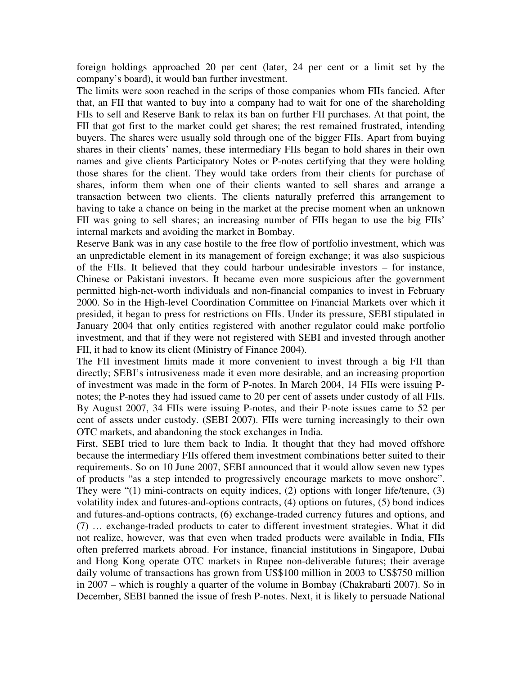foreign holdings approached 20 per cent (later, 24 per cent or a limit set by the company's board), it would ban further investment.

The limits were soon reached in the scrips of those companies whom FIIs fancied. After that, an FII that wanted to buy into a company had to wait for one of the shareholding FIIs to sell and Reserve Bank to relax its ban on further FII purchases. At that point, the FII that got first to the market could get shares; the rest remained frustrated, intending buyers. The shares were usually sold through one of the bigger FIIs. Apart from buying shares in their clients' names, these intermediary FIIs began to hold shares in their own names and give clients Participatory Notes or P-notes certifying that they were holding those shares for the client. They would take orders from their clients for purchase of shares, inform them when one of their clients wanted to sell shares and arrange a transaction between two clients. The clients naturally preferred this arrangement to having to take a chance on being in the market at the precise moment when an unknown FII was going to sell shares; an increasing number of FIIs began to use the big FIIs' internal markets and avoiding the market in Bombay.

Reserve Bank was in any case hostile to the free flow of portfolio investment, which was an unpredictable element in its management of foreign exchange; it was also suspicious of the FIIs. It believed that they could harbour undesirable investors – for instance, Chinese or Pakistani investors. It became even more suspicious after the government permitted high-net-worth individuals and non-financial companies to invest in February 2000. So in the High-level Coordination Committee on Financial Markets over which it presided, it began to press for restrictions on FIIs. Under its pressure, SEBI stipulated in January 2004 that only entities registered with another regulator could make portfolio investment, and that if they were not registered with SEBI and invested through another FII, it had to know its client (Ministry of Finance 2004).

The FII investment limits made it more convenient to invest through a big FII than directly; SEBI's intrusiveness made it even more desirable, and an increasing proportion of investment was made in the form of P-notes. In March 2004, 14 FIIs were issuing Pnotes; the P-notes they had issued came to 20 per cent of assets under custody of all FIIs. By August 2007, 34 FIIs were issuing P-notes, and their P-note issues came to 52 per cent of assets under custody. (SEBI 2007). FIIs were turning increasingly to their own OTC markets, and abandoning the stock exchanges in India.

First, SEBI tried to lure them back to India. It thought that they had moved offshore because the intermediary FIIs offered them investment combinations better suited to their requirements. So on 10 June 2007, SEBI announced that it would allow seven new types of products "as a step intended to progressively encourage markets to move onshore". They were "(1) mini-contracts on equity indices, (2) options with longer life/tenure, (3) volatility index and futures-and-options contracts, (4) options on futures, (5) bond indices and futures-and-options contracts, (6) exchange-traded currency futures and options, and (7) … exchange-traded products to cater to different investment strategies. What it did not realize, however, was that even when traded products were available in India, FIIs often preferred markets abroad. For instance, financial institutions in Singapore, Dubai and Hong Kong operate OTC markets in Rupee non-deliverable futures; their average daily volume of transactions has grown from US\$100 million in 2003 to US\$750 million in 2007 – which is roughly a quarter of the volume in Bombay (Chakrabarti 2007). So in December, SEBI banned the issue of fresh P-notes. Next, it is likely to persuade National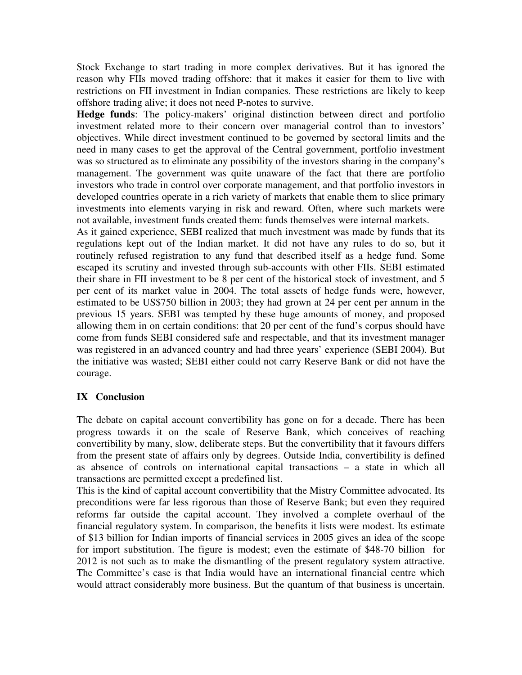Stock Exchange to start trading in more complex derivatives. But it has ignored the reason why FIIs moved trading offshore: that it makes it easier for them to live with restrictions on FII investment in Indian companies. These restrictions are likely to keep offshore trading alive; it does not need P-notes to survive.

**Hedge funds**: The policy-makers' original distinction between direct and portfolio investment related more to their concern over managerial control than to investors' objectives. While direct investment continued to be governed by sectoral limits and the need in many cases to get the approval of the Central government, portfolio investment was so structured as to eliminate any possibility of the investors sharing in the company's management. The government was quite unaware of the fact that there are portfolio investors who trade in control over corporate management, and that portfolio investors in developed countries operate in a rich variety of markets that enable them to slice primary investments into elements varying in risk and reward. Often, where such markets were not available, investment funds created them: funds themselves were internal markets.

As it gained experience, SEBI realized that much investment was made by funds that its regulations kept out of the Indian market. It did not have any rules to do so, but it routinely refused registration to any fund that described itself as a hedge fund. Some escaped its scrutiny and invested through sub-accounts with other FIIs. SEBI estimated their share in FII investment to be 8 per cent of the historical stock of investment, and 5 per cent of its market value in 2004. The total assets of hedge funds were, however, estimated to be US\$750 billion in 2003; they had grown at 24 per cent per annum in the previous 15 years. SEBI was tempted by these huge amounts of money, and proposed allowing them in on certain conditions: that 20 per cent of the fund's corpus should have come from funds SEBI considered safe and respectable, and that its investment manager was registered in an advanced country and had three years' experience (SEBI 2004). But the initiative was wasted; SEBI either could not carry Reserve Bank or did not have the courage.

## **IX Conclusion**

The debate on capital account convertibility has gone on for a decade. There has been progress towards it on the scale of Reserve Bank, which conceives of reaching convertibility by many, slow, deliberate steps. But the convertibility that it favours differs from the present state of affairs only by degrees. Outside India, convertibility is defined as absence of controls on international capital transactions – a state in which all transactions are permitted except a predefined list.

This is the kind of capital account convertibility that the Mistry Committee advocated. Its preconditions were far less rigorous than those of Reserve Bank; but even they required reforms far outside the capital account. They involved a complete overhaul of the financial regulatory system. In comparison, the benefits it lists were modest. Its estimate of \$13 billion for Indian imports of financial services in 2005 gives an idea of the scope for import substitution. The figure is modest; even the estimate of \$48-70 billion for 2012 is not such as to make the dismantling of the present regulatory system attractive. The Committee's case is that India would have an international financial centre which would attract considerably more business. But the quantum of that business is uncertain.